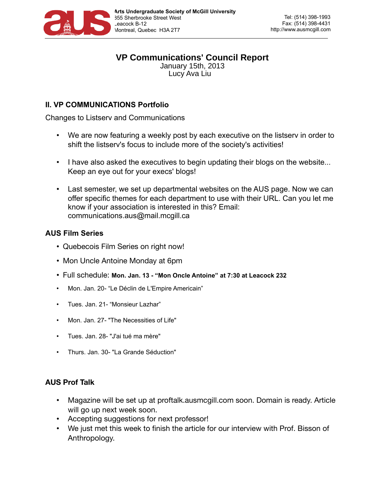

#### **VP Communications' Council Report** January 15th, 2013

Lucy Ava Liu

# **II. VP COMMUNICATIONS Portfolio**

Changes to Listserv and Communications

- We are now featuring a weekly post by each executive on the listserv in order to shift the listserv's focus to include more of the society's activities!
- I have also asked the executives to begin updating their blogs on the website... Keep an eye out for your execs' blogs!
- Last semester, we set up departmental websites on the AUS page. Now we can offer specific themes for each department to use with their URL. Can you let me know if your association is interested in this? Email: communications.aus@mail.mcgill.ca

## **AUS Film Series**

- Quebecois Film Series on right now!
- Mon Uncle Antoine Monday at 6pm
- Full schedule: **Mon. Jan. 13 "Mon Oncle Antoine" at 7:30 at Leacock 232**
- Mon. Jan. 20- "Le Déclin de L'Empire Americain"
- Tues. Jan. 21- "Monsieur Lazhar"
- Mon. Jan. 27- "The Necessities of Life"
- Tues. Jan. 28- "J'ai tué ma mère"
- Thurs. Jan. 30- "La Grande Séduction"

## **AUS Prof Talk**

- Magazine will be set up at proftalk.ausmcgill.com soon. Domain is ready. Article will go up next week soon.
- Accepting suggestions for next professor!
- We just met this week to finish the article for our interview with Prof. Bisson of Anthropology.